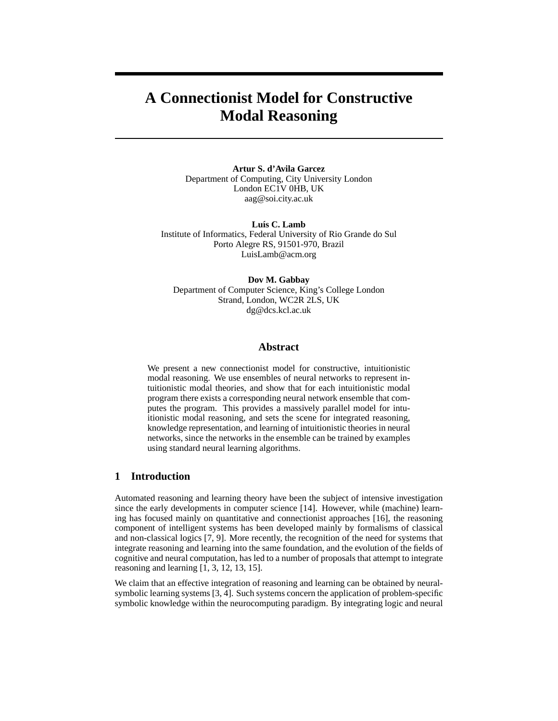# **A Connectionist Model for Constructive Modal Reasoning**

**Artur S. d'Avila Garcez** Department of Computing, City University London London EC1V 0HB, UK aag@soi.city.ac.uk

Luís C. Lamb Institute of Informatics, Federal University of Rio Grande do Sul Porto Alegre RS, 91501-970, Brazil LuisLamb@acm.org

**Dov M. Gabbay** Department of Computer Science, King's College London Strand, London, WC2R 2LS, UK dg@dcs.kcl.ac.uk

#### **Abstract**

We present a new connectionist model for constructive, intuitionistic modal reasoning. We use ensembles of neural networks to represent intuitionistic modal theories, and show that for each intuitionistic modal program there exists a corresponding neural network ensemble that computes the program. This provides a massively parallel model for intuitionistic modal reasoning, and sets the scene for integrated reasoning, knowledge representation, and learning of intuitionistic theories in neural networks, since the networks in the ensemble can be trained by examples using standard neural learning algorithms.

# **1 Introduction**

Automated reasoning and learning theory have been the subject of intensive investigation since the early developments in computer science [14]. However, while (machine) learning has focused mainly on quantitative and connectionist approaches [16], the reasoning component of intelligent systems has been developed mainly by formalisms of classical and non-classical logics [7, 9]. More recently, the recognition of the need for systems that integrate reasoning and learning into the same foundation, and the evolution of the fields of cognitive and neural computation, has led to a number of proposals that attempt to integrate reasoning and learning [1, 3, 12, 13, 15].

We claim that an effective integration of reasoning and learning can be obtained by neuralsymbolic learning systems [3, 4]. Such systems concern the application of problem-specific symbolic knowledge within the neurocomputing paradigm. By integrating logic and neural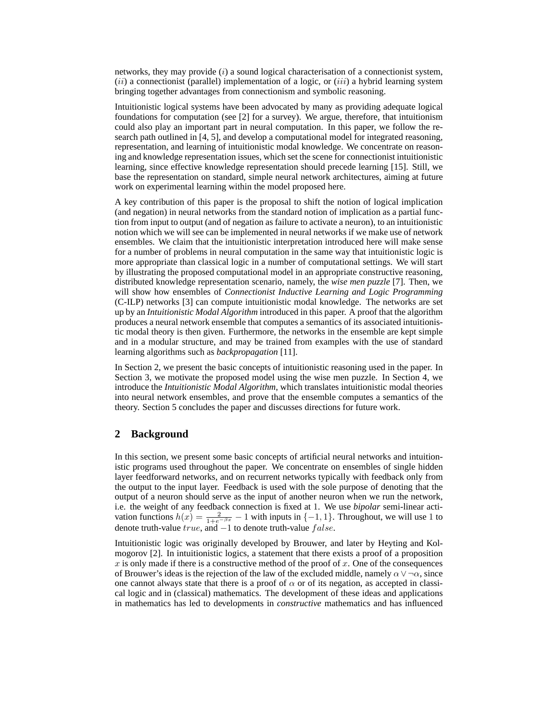networks, they may provide  $(i)$  a sound logical characterisation of a connectionist system,  $(iii)$  a connectionist (parallel) implementation of a logic, or  $(iii)$  a hybrid learning system bringing together advantages from connectionism and symbolic reasoning.

Intuitionistic logical systems have been advocated by many as providing adequate logical foundations for computation (see [2] for a survey). We argue, therefore, that intuitionism could also play an important part in neural computation. In this paper, we follow the research path outlined in [4, 5], and develop a computational model for integrated reasoning, representation, and learning of intuitionistic modal knowledge. We concentrate on reasoning and knowledge representation issues, which set the scene for connectionist intuitionistic learning, since effective knowledge representation should precede learning [15]. Still, we base the representation on standard, simple neural network architectures, aiming at future work on experimental learning within the model proposed here.

A key contribution of this paper is the proposal to shift the notion of logical implication (and negation) in neural networks from the standard notion of implication as a partial function from input to output (and of negation as failure to activate a neuron), to an intuitionistic notion which we will see can be implemented in neural networks if we make use of network ensembles. We claim that the intuitionistic interpretation introduced here will make sense for a number of problems in neural computation in the same way that intuitionistic logic is more appropriate than classical logic in a number of computational settings. We will start by illustrating the proposed computational model in an appropriate constructive reasoning, distributed knowledge representation scenario, namely, the *wise men puzzle* [7]. Then, we will show how ensembles of *Connectionist Inductive Learning and Logic Programming* (C-ILP) networks [3] can compute intuitionistic modal knowledge. The networks are set up by an *Intuitionistic Modal Algorithm* introduced in this paper. A proof that the algorithm produces a neural network ensemble that computes a semantics of its associated intuitionistic modal theory is then given. Furthermore, the networks in the ensemble are kept simple and in a modular structure, and may be trained from examples with the use of standard learning algorithms such as *backpropagation* [11].

In Section 2, we present the basic concepts of intuitionistic reasoning used in the paper. In Section 3, we motivate the proposed model using the wise men puzzle. In Section 4, we introduce the *Intuitionistic Modal Algorithm*, which translates intuitionistic modal theories into neural network ensembles, and prove that the ensemble computes a semantics of the theory. Section 5 concludes the paper and discusses directions for future work.

## **2 Background**

In this section, we present some basic concepts of artificial neural networks and intuitionistic programs used throughout the paper. We concentrate on ensembles of single hidden layer feedforward networks, and on recurrent networks typically with feedback only from the output to the input layer. Feedback is used with the sole purpose of denoting that the output of a neuron should serve as the input of another neuron when we run the network, i.e. the weight of any feedback connection is fixed at 1. We use *bipolar* semi-linear activation functions  $h(x) = \frac{2}{1+e^{-\beta x}} - 1$  with inputs in  $\{-1, 1\}$ . Throughout, we will use 1 to denote truth-value  $true$ , and  $-1$  to denote truth-value  $false$ .

Intuitionistic logic was originally developed by Brouwer, and later by Heyting and Kolmogorov [2]. In intuitionistic logics, a statement that there exists a proof of a proposition  $x$  is only made if there is a constructive method of the proof of  $x$ . One of the consequences of Brouwer's ideas is the rejection of the law of the excluded middle, namely  $\alpha \vee \neg \alpha$ , since one cannot always state that there is a proof of  $\alpha$  or of its negation, as accepted in classical logic and in (classical) mathematics. The development of these ideas and applications in mathematics has led to developments in *constructive* mathematics and has influenced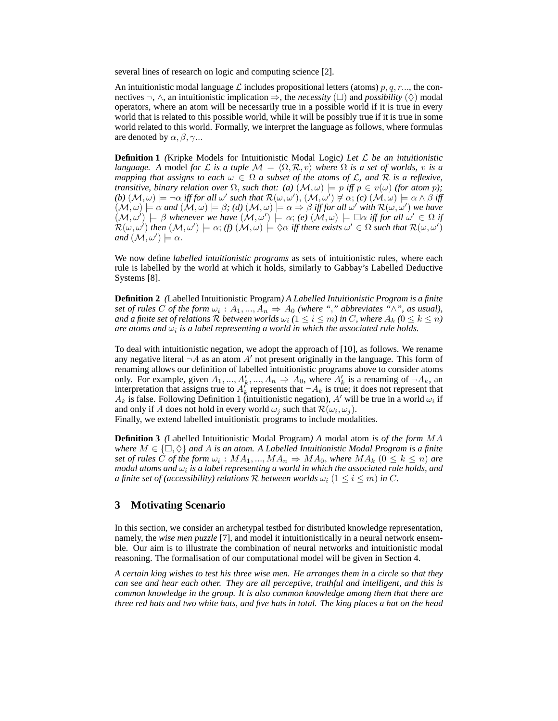several lines of research on logic and computing science [2].

An intuitionistic modal language  $\mathcal L$  includes propositional letters (atoms)  $p, q, r...$ , the connectives  $\neg$ ,  $\wedge$ , an intuitionistic implication  $\Rightarrow$ , the *necessity* ( $\square$ ) and *possibility* ( $\Diamond$ ) modal operators, where an atom will be necessarily true in a possible world if it is true in every world that is related to this possible world, while it will be possibly true if it is true in some world related to this world. Formally, we interpret the language as follows, where formulas are denoted by  $\alpha, \beta, \gamma$ ...

**Definition 1** *(*Kripke Models for Intuitionistic Modal Logic*) Let* L *be an intuitionistic language.* A model for L is a tuple  $\mathcal{M} = \langle \Omega, \mathcal{R}, v \rangle$  where  $\Omega$  is a set of worlds, v is a *mapping that assigns to each*  $\omega \in \Omega$  *a subset of the atoms of*  $\mathcal{L}$ *, and*  $\mathcal{R}$  *is a reflexive, transitive, binary relation over*  $\Omega$ *, such that:* (a)  $(\mathcal{M}, \omega) \models p$  *iff*  $p \in v(\omega)$  (for atom p);  $f(b)$   $(\mathcal{M}, \omega) \models \neg \alpha$  *iff for all*  $\omega'$  such that  $\mathcal{R}(\omega, \omega'),$   $(\mathcal{M}, \omega') \not \models \alpha;$   $(c)$   $(\mathcal{M}, \omega) \models \alpha \wedge \beta$  *iff*  $(\mathcal{M}, \omega) \models \alpha$  and  $(\mathcal{M}, \omega) \models \beta$ ; (d)  $(\mathcal{M}, \omega) \models \alpha \Rightarrow \beta$  iff for all  $\omega'$  with  $\mathcal{R}(\omega, \omega')$  we have  $(M, \omega')$   $\models \beta$  whenever we have  $(M, \omega')$   $\models \alpha$ ;  $(e)$   $(M, \omega)$   $\models \Box \alpha$  *iff for all*  $\omega' \in \Omega$  *if*  $\mathcal{R}(\omega,\omega')$  then  $(\mathcal{M},\omega')\models \alpha;$   $(f)\ (\mathcal{M},\omega)\models \Diamond\alpha$  iff there exists  $\omega'\in\Omega$  such that  $\mathcal{R}(\omega,\omega')$ and  $(\mathcal{M}, \omega') \models \alpha$ .

We now define *labelled intuitionistic programs* as sets of intuitionistic rules, where each rule is labelled by the world at which it holds, similarly to Gabbay's Labelled Deductive Systems [8].

**Definition 2** *(*Labelled Intuitionistic Program*) A Labelled Intuitionistic Program is a finite set of rules* C *of the form*  $\omega_i$  :  $A_1, ..., A_n \Rightarrow A_0$  *(where "," abbreviates "* $\wedge$ ", *as usual*), *and a finite set of relations* R *between worlds*  $\omega_i$  ( $1 \leq i \leq m$ ) in C, where  $A_k$  ( $0 \leq k \leq n$ )  $a$ re atoms and  $\omega_i$  is a label representing a world in which the associated rule holds.

To deal with intuitionistic negation, we adopt the approach of [10], as follows. We rename any negative literal  $\neg A$  as an atom  $A'$  not present originally in the language. This form of renaming allows our definition of labelled intuitionistic programs above to consider atoms only. For example, given  $A_1, ..., A'_k, ..., A_n \Rightarrow A_0$ , where  $A'_k$  is a renaming of  $\neg A_k$ , an interpretation that assigns true to  $A'_k$  represents that  $\neg A_k$  is true; it does not represent that  $A_k$  is false. Following Definition 1 (intuitionistic negation), A' will be true in a world  $\omega_i$  if and only if A does not hold in every world  $\omega_j$  such that  $\mathcal{R}(\omega_i, \omega_j)$ .

Finally, we extend labelled intuitionistic programs to include modalities.

**Definition 3** *(*Labelled Intuitionistic Modal Program*) A* modal atom *is of the form* MA *where*  $M \in \{\Box, \Diamond\}$  *and* A *is an atom.* A Labelled Intuitionistic Modal Program is a finite set of rules  $C$  of the form  $\omega_i$  :  $MA_1$ , ...,  $MA_n \Rightarrow MA_0$ , where  $MA_k$   $(0 \leq k \leq n)$  are  $\emph{modal atoms and} \omega_i$  is a label representing a world in which the associated rule holds, and *a finite set of (accessibility) relations*  $\mathcal R$  *between worlds*  $\omega_i$  ( $1 \leq i \leq m$ ) *in* C.

## **3 Motivating Scenario**

In this section, we consider an archetypal testbed for distributed knowledge representation, namely, the *wise men puzzle* [7], and model it intuitionistically in a neural network ensemble. Our aim is to illustrate the combination of neural networks and intuitionistic modal reasoning. The formalisation of our computational model will be given in Section 4.

*A certain king wishes to test his three wise men. He arranges them in a circle so that they can see and hear each other. They are all perceptive, truthful and intelligent, and this is common knowledge in the group. It is also common knowledge among them that there are three red hats and two white hats, and five hats in total. The king places a hat on the head*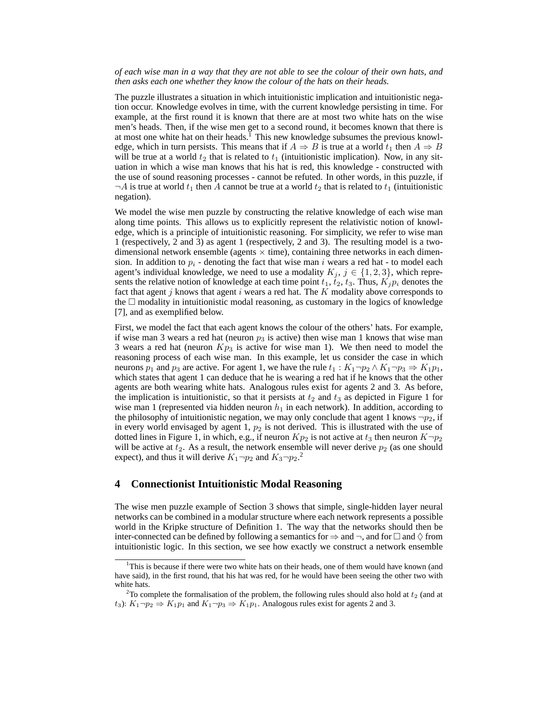*of each wise man in a way that they are not able to see the colour of their own hats, and then asks each one whether they know the colour of the hats on their heads.*

The puzzle illustrates a situation in which intuitionistic implication and intuitionistic negation occur. Knowledge evolves in time, with the current knowledge persisting in time. For example, at the first round it is known that there are at most two white hats on the wise men's heads. Then, if the wise men get to a second round, it becomes known that there is at most one white hat on their heads.<sup>1</sup> This new knowledge subsumes the previous knowledge, which in turn persists. This means that if  $A \Rightarrow B$  is true at a world  $t_1$  then  $A \Rightarrow B$ will be true at a world  $t_2$  that is related to  $t_1$  (intuitionistic implication). Now, in any situation in which a wise man knows that his hat is red, this knowledge - constructed with the use of sound reasoning processes - cannot be refuted. In other words, in this puzzle, if  $\neg A$  is true at world  $t_1$  then A cannot be true at a world  $t_2$  that is related to  $t_1$  (intuitionistic negation).

We model the wise men puzzle by constructing the relative knowledge of each wise man along time points. This allows us to explicitly represent the relativistic notion of knowledge, which is a principle of intuitionistic reasoning. For simplicity, we refer to wise man 1 (respectively, 2 and 3) as agent 1 (respectively, 2 and 3). The resulting model is a twodimensional network ensemble (agents  $\times$  time), containing three networks in each dimension. In addition to  $p_i$  - denoting the fact that wise man i wears a red hat - to model each agent's individual knowledge, we need to use a modality  $K_j$ ,  $j \in \{1, 2, 3\}$ , which represents the relative notion of knowledge at each time point  $t_1$ ,  $t_2$ ,  $t_3$ . Thus,  $K_i p_i$  denotes the fact that agent j knows that agent i wears a red hat. The  $K$  modality above corresponds to the  $\Box$  modality in intuitionistic modal reasoning, as customary in the logics of knowledge [7], and as exemplified below.

First, we model the fact that each agent knows the colour of the others' hats. For example, if wise man 3 wears a red hat (neuron  $p_3$  is active) then wise man 1 knows that wise man 3 wears a red hat (neuron  $Kp_3$  is active for wise man 1). We then need to model the reasoning process of each wise man. In this example, let us consider the case in which neurons  $p_1$  and  $p_3$  are active. For agent 1, we have the rule  $t_1 : K_1 \neg p_2 \land K_1 \neg p_3 \Rightarrow K_1 p_1$ , which states that agent 1 can deduce that he is wearing a red hat if he knows that the other agents are both wearing white hats. Analogous rules exist for agents 2 and 3. As before, the implication is intuitionistic, so that it persists at  $t_2$  and  $t_3$  as depicted in Figure 1 for wise man 1 (represented via hidden neuron  $h_1$  in each network). In addition, according to the philosophy of intuitionistic negation, we may only conclude that agent 1 knows  $\neg p_2$ , if in every world envisaged by agent 1,  $p_2$  is not derived. This is illustrated with the use of dotted lines in Figure 1, in which, e.g., if neuron  $Kp_2$  is not active at  $t_3$  then neuron  $K\neg p_2$ will be active at  $t_2$ . As a result, the network ensemble will never derive  $p_2$  (as one should expect), and thus it will derive  $K_1 \neg p_2$  and  $K_3 \neg p_2$ .<sup>2</sup>

#### **4 Connectionist Intuitionistic Modal Reasoning**

The wise men puzzle example of Section 3 shows that simple, single-hidden layer neural networks can be combined in a modular structure where each network represents a possible world in the Kripke structure of Definition 1. The way that the networks should then be inter-connected can be defined by following a semantics for  $\Rightarrow$  and  $\neg$ , and for  $\Box$  and  $\Diamond$  from intuitionistic logic. In this section, we see how exactly we construct a network ensemble

<sup>1</sup>This is because if there were two white hats on their heads, one of them would have known (and have said), in the first round, that his hat was red, for he would have been seeing the other two with white hats.

<sup>&</sup>lt;sup>2</sup>To complete the formalisation of the problem, the following rules should also hold at  $t_2$  (and at t<sub>3</sub>):  $K_1 \neg p_2 \Rightarrow K_1 p_1$  and  $K_1 \neg p_3 \Rightarrow K_1 p_1$ . Analogous rules exist for agents 2 and 3.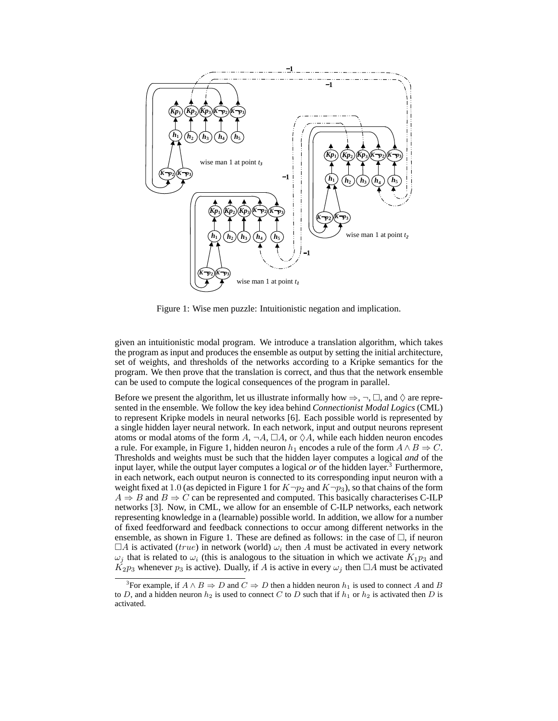

Figure 1: Wise men puzzle: Intuitionistic negation and implication.

given an intuitionistic modal program. We introduce a translation algorithm, which takes the program as input and produces the ensemble as output by setting the initial architecture, set of weights, and thresholds of the networks according to a Kripke semantics for the program. We then prove that the translation is correct, and thus that the network ensemble can be used to compute the logical consequences of the program in parallel.

Before we present the algorithm, let us illustrate informally how  $\Rightarrow$ ,  $\neg$ ,  $\Box$ , and  $\Diamond$  are represented in the ensemble. We follow the key idea behind *Connectionist Modal Logics* (CML) to represent Kripke models in neural networks [6]. Each possible world is represented by a single hidden layer neural network. In each network, input and output neurons represent atoms or modal atoms of the form  $A, \neg A, \Box A$ , or  $\Diamond A$ , while each hidden neuron encodes a rule. For example, in Figure 1, hidden neuron  $h_1$  encodes a rule of the form  $A \wedge B \Rightarrow C$ . Thresholds and weights must be such that the hidden layer computes a logical *and* of the input layer, while the output layer computes a logical  $or$  of the hidden layer.<sup>3</sup> Furthermore, in each network, each output neuron is connected to its corresponding input neuron with a weight fixed at 1.0 (as depicted in Figure 1 for  $K\neg p_2$  and  $K\neg p_3$ ), so that chains of the form  $A \Rightarrow B$  and  $B \Rightarrow C$  can be represented and computed. This basically characterises C-ILP networks [3]. Now, in CML, we allow for an ensemble of C-ILP networks, each network representing knowledge in a (learnable) possible world. In addition, we allow for a number of fixed feedforward and feedback connections to occur among different networks in the ensemble, as shown in Figure 1. These are defined as follows: in the case of  $\Box$ , if neuron  $\Box A$  is activated (*true*) in network (world)  $\omega_i$  then A must be activated in every network  $\omega_j$  that is related to  $\omega_i$  (this is analogous to the situation in which we activate  $K_1p_3$  and  $K_2p_3$  whenever  $p_3$  is active). Dually, if A is active in every  $\omega_j$  then  $\Box A$  must be activated

<sup>&</sup>lt;sup>3</sup>For example, if  $A \wedge B \Rightarrow D$  and  $C \Rightarrow D$  then a hidden neuron  $h_1$  is used to connect A and B to D, and a hidden neuron  $h_2$  is used to connect C to D such that if  $h_1$  or  $h_2$  is activated then D is activated.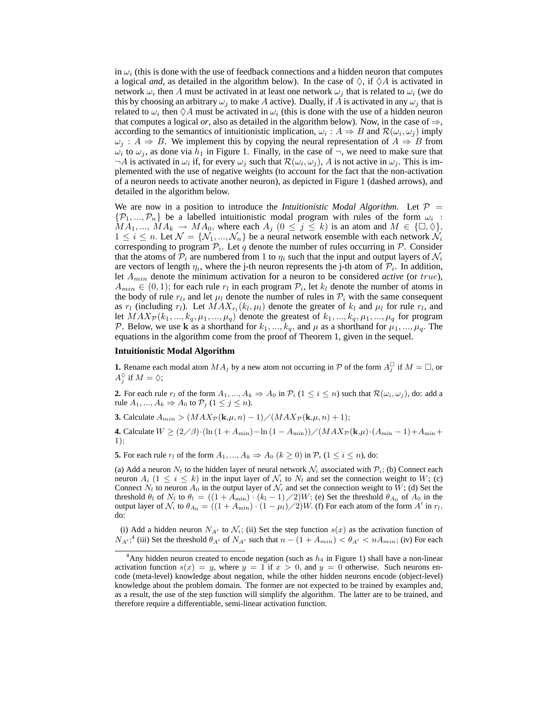in  $\omega_i$  (this is done with the use of feedback connections and a hidden neuron that computes a logical *and*, as detailed in the algorithm below). In the case of  $\Diamond$ , if  $\Diamond A$  is activated in network  $\omega_i$  then A must be activated in at least one network  $\omega_j$  that is related to  $\omega_i$  (we do this by choosing an arbitrary  $\omega_i$  to make A active). Dually, if A is activated in any  $\omega_i$  that is related to  $\omega_i$  then  $\Diamond A$  must be activated in  $\omega_i$  (this is done with the use of a hidden neuron that computes a logical *or*, also as detailed in the algorithm below). Now, in the case of  $\Rightarrow$ , according to the semantics of intuitionistic implication,  $\omega_i : A \Rightarrow B$  and  $\mathcal{R}(\omega_i, \omega_j)$  imply  $\omega_i : A \Rightarrow B$ . We implement this by copying the neural representation of  $A \Rightarrow B$  from  $\omega_i$  to  $\omega_j$ , as done via  $h_1$  in Figure 1. Finally, in the case of  $\neg$ , we need to make sure that  $\neg A$  is activated in  $\omega_i$  if, for every  $\omega_j$  such that  $\mathcal{R}(\omega_i, \omega_j)$ , A is not active in  $\omega_j$ . This is implemented with the use of negative weights (to account for the fact that the non-activation of a neuron needs to activate another neuron), as depicted in Figure 1 (dashed arrows), and detailed in the algorithm below.

We are now in a position to introduce the *Intuitionistic Modal Algorithm*. Let  $\mathcal{P}$  =  $\{\mathcal{P}_1, ..., \mathcal{P}_n\}$  be a labelled intuitionistic modal program with rules of the form  $\omega_i$ :  $MA_1, ..., MA_k \rightarrow MA_0$ , where each  $A_j$   $(0 \leq j \leq k)$  is an atom and  $M \in \{\square, \diamondsuit\},$  $1 \leq i \leq n$ . Let  $\mathcal{N} = {\mathcal{N}_1, ..., \mathcal{N}_n}$  be a neural network ensemble with each network  $\mathcal{N}_i$ corresponding to program  $P_i$ . Let q denote the number of rules occurring in  $P$ . Consider that the atoms of  $\mathcal{P}_i$  are numbered from 1 to  $\eta_i$  such that the input and output layers of  $\mathcal{N}_i$ are vectors of length  $\eta_i$ , where the j-th neuron represents the j-th atom of  $\mathcal{P}_i$ . In addition, let  $A_{min}$  denote the minimum activation for a neuron to be considered *active* (or true),  $A_{min} \in (0,1)$ ; for each rule  $r_l$  in each program  $\mathcal{P}_i$ , let  $k_l$  denote the number of atoms in the body of rule  $r_l$ , and let  $\mu_l$  denote the number of rules in  $\mathcal{P}_i$  with the same consequent as  $r_l$  (including  $r_l$ ). Let  $MAX_{r_l}(k_l, \mu_l)$  denote the greater of  $k_l$  and  $\mu_l$  for rule  $r_l$ , and let  $MAX_{\mathcal{P}}(k_1,...,k_q,\mu_1,...,\mu_q)$  denote the greatest of  $k_1,...,k_q,\mu_1,...,\mu_q$  for program P. Below, we use **k** as a shorthand for  $k_1, ..., k_q$ , and  $\mu$  as a shorthand for  $\mu_1, ..., \mu_q$ . The equations in the algorithm come from the proof of Theorem 1, given in the sequel.

#### **Intuitionistic Modal Algorithm**

**1.** Rename each modal atom  $MA_j$  by a new atom not occurring in  $\mathcal P$  of the form  $A_j^{\square}$  if  $M = \square$ , or  $A_j^{\Diamond}$  if  $M = \Diamond;$ 

**2.** For each rule  $r_l$  of the form  $A_1, ..., A_k \Rightarrow A_0$  in  $\mathcal{P}_i$  ( $1 \leq i \leq n$ ) such that  $\mathcal{R}(\omega_i, \omega_j)$ , do: add a rule  $A_1, ..., A_k \Rightarrow A_0$  to  $P_j$   $(1 \leq j \leq n)$ .

**3.** Calculate  $A_{min} > (MAX_{\mathcal{P}}(\mathbf{k}, \mu, n) - 1) / (MAX_{\mathcal{P}}(\mathbf{k}, \mu, n) + 1);$ 

**4.** Calculate  $W \ge (2/\beta) \cdot (\ln(1 + A_{\min}) - \ln(1 - A_{\min}))/(MAX_{\mathcal{P}}(k,\mu) \cdot (A_{\min} - 1) + A_{\min} +$ 1);

**5.** For each rule  $r_l$  of the form  $A_1, ..., A_k \Rightarrow A_0$   $(k \ge 0)$  in  $\mathcal{P}_i$   $(1 \le i \le n)$ , do:

(a) Add a neuron  $N_l$  to the hidden layer of neural network  $N_i$  associated with  $P_i$ ; (b) Connect each neuron  $A_i$   $(1 \le i \le k)$  in the input layer of  $\mathcal{N}_i$  to  $N_l$  and set the connection weight to  $W$ ; (c) Connect  $N_l$  to neuron  $A_0$  in the output layer of  $N_i$  and set the connection weight to W; (d) Set the threshold  $\theta_l$  of  $N_l$  to  $\theta_l = ((1 + A_{\min}) \cdot (k_l - 1)/2)W$ ; (e) Set the threshold  $\theta_{A_0}$  of  $A_0$  in the output layer of  $\mathcal{N}_i$  to  $\theta_{A_0} = ((1 + A_{\min}) \cdot (1 - \mu_i)/2)W$ . (f) For each atom of the form  $A'$  in  $r_l$ , do:

(i) Add a hidden neuron  $N_{A'}$  to  $\mathcal{N}_i$ ; (ii) Set the step function  $s(x)$  as the activation function of  $N_{A'}$ ;<sup>4</sup> (iii) Set the threshold  $\theta_{A'}$  of  $N_{A'}$  such that  $n-(1+A_{min}) < \theta_{A'} < nA_{min}$ ; (iv) For each

<sup>&</sup>lt;sup>4</sup>Any hidden neuron created to encode negation (such as  $h_4$  in Figure 1) shall have a non-linear activation function  $s(x) = y$ , where  $y = 1$  if  $x > 0$ , and  $y = 0$  otherwise. Such neurons encode (meta-level) knowledge about negation, while the other hidden neurons encode (object-level) knowledge about the problem domain. The former are not expected to be trained by examples and, as a result, the use of the step function will simplify the algorithm. The latter are to be trained, and therefore require a differentiable, semi-linear activation function.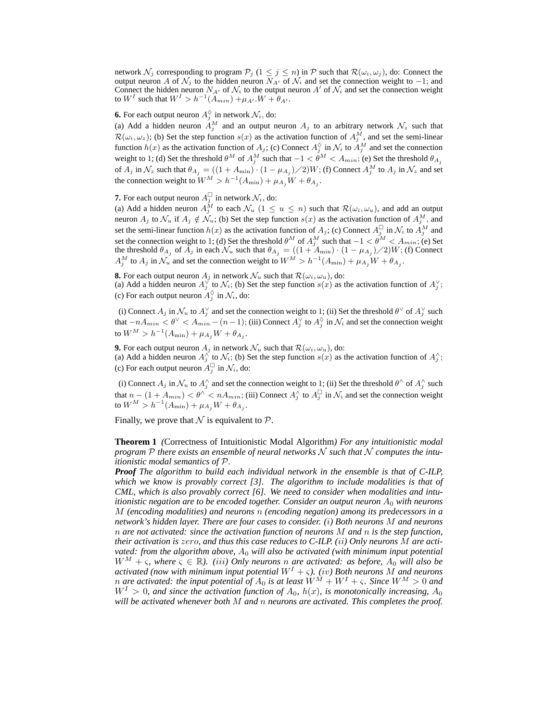network  $\mathcal{N}_j$  corresponding to program  $\mathcal{P}_j$  ( $1 \leq j \leq n$ ) in  $\mathcal P$  such that  $\mathcal{R}(\omega_i, \omega_j)$ , do: Connect the output neuron A of  $\mathcal{N}_i$  to the hidden neuron  $N_{A'}$  of  $\mathcal{N}_i$  and set the connection weight to  $-1$ ; and Connect the hidden neuron  $N_{A'}$  of  $\mathcal{N}_i$  to the output neuron  $A'$  of  $\mathcal{N}_i$  and set the connection weight to  $W^I$  such that  $W^I > h^{-1}(A_{min}) + \mu_{A'} W + \theta_{A'}$ .

**6.** For each output neuron  $A_j^{\Diamond}$  in network  $\mathcal{N}_i$ , do:

(a) Add a hidden neuron  $A_j^M$  and an output neuron  $A_j$  to an arbitrary network  $\mathcal{N}_z$  such that  $\mathcal{R}(\omega_i, \omega_z)$ ; (b) Set the step function  $s(x)$  as the activation function of  $A_j^M$ , and set the semi-linear function  $h(x)$  as the activation function of  $A_j$ ; (c) Connect  $A_j^{\lozenge}$  in  $\mathcal{N}_i$  to  $A_j^M$  and set the connection weight to 1; (d) Set the threshold  $\theta^M$  of  $A_j^M$  such that  $-1<\theta^M< A_{min};$  (e) Set the threshold  $\theta_{A_j}$ of  $A_j$  in  $\mathcal{N}_z$  such that  $\theta_{A_j} = ((1 + A_{\min}) \cdot (1 - \mu_{A_j}) / 2)W$ ; (f) Connect  $A_j^M$  to  $A_j$  in  $\mathcal{N}_z$  and set the connection weight to  $W^M > h^{-1}(A_{\min}) + \mu_{A_j}W + \theta_{A_j}$ .

**7.** For each output neuron  $A_j^{\square}$  in network  $\mathcal{N}_i$ , do:

(a) Add a hidden neuron  $A_j^M$  to each  $\mathcal{N}_u$   $(1 \le u \le n)$  such that  $\mathcal{R}(\omega_i, \omega_u)$ , and add an output neuron  $A_j$  to  $\mathcal{N}_u$  if  $A_j \notin \mathcal{N}_u$ ; (b) Set the step function  $s(x)$  as the activation function of  $A_j^M$ , and set the semi-linear function  $h(x)$  as the activation function of  $A_j$ ; (c) Connect  $A_j^{\square}$  in  $\mathcal{N}_i$  to  $A_j^M$  and set the connection weight to 1; (d) Set the threshold  $\theta^M$  of  $A_j^M$  such that  $-1<\theta^M< A_{min};$  (e) Set the threshold  $\theta_{A_j}$  of  $A_j$  in each  $\mathcal{N}_u$  such that  $\theta_{A_j} = ((1 + A_{\min}) \cdot (1 - \mu_{A_j})/2)W$ ; (f) Connect  $A_j^M$  to  $A_j$  in  $\mathcal{N}_u$  and set the connection weight to  $W^M > h^{-1}(A_{\min}) + \mu_{A_j}W + \theta_{A_j}$ .

**8.** For each output neuron  $A_j$  in network  $\mathcal{N}_u$  such that  $\mathcal{R}(\omega_i, \omega_u)$ , do:

(a) Add a hidden neuron  $A_j^{\vee}$  to  $\mathcal{N}_i$ ; (b) Set the step function  $s(x)$  as the activation function of  $A_j^{\vee}$ ; (c) For each output neuron  $A_j^{\lozenge}$  in  $\mathcal{N}_i$ , do:

(i) Connect  $A_j$  in  $\mathcal{N}_u$  to  $A_j^{\vee}$  and set the connection weight to 1; (ii) Set the threshold  $\theta^{\vee}$  of  $A_j^{\vee}$  such that  $-nA_{min} < \theta^{\vee} < A_{min} - (n-1)$ ; (iii) Connect  $A_j^{\vee}$  to  $A_j^{\Diamond}$  in  $\mathcal{N}_i$  and set the connection weight to  $W^{M} > h^{-1}(A_{\min}) + \mu_{A_j}W + \theta_{A_j}.$ 

**9.** For each output neuron  $A_j$  in network  $\mathcal{N}_u$  such that  $\mathcal{R}(\omega_i, \omega_u)$ , do:

(a) Add a hidden neuron  $A_j^{\lambda}$  to  $\mathcal{N}_i$ ; (b) Set the step function  $s(x)$  as the activation function of  $A_j^{\lambda}$ ; (c) For each output neuron  $A_j^{\square}$  in  $\mathcal{N}_i$ , do:

(i) Connect  $A_j$  in  $\mathcal{N}_u$  to  $A_j^{\wedge}$  and set the connection weight to 1; (ii) Set the threshold  $\theta^{\wedge}$  of  $A_j^{\wedge}$  such that  $n-(1+A_{min}) < \theta^{\hat{ }} < nA_{min}$ ; (iii) Connect  $A_j^{\hat{ }}$  to  $A_j^{\square}$  in  $\mathcal{N}_i$  and set the connection weight to  $W^M > h^{-1}(A_{\min}) + \mu_{A_j}W + \theta_{A_j}.$ 

Finally, we prove that  $\mathcal N$  is equivalent to  $\mathcal P$ .

**Theorem 1** *(*Correctness of Intuitionistic Modal Algorithm*) For any intuitionistic modal program*  $P$  *there exists an ensemble of neural networks*  $N$  *such that*  $N$  *computes the intuitionistic modal semantics of* P*.*

*Proof The algorithm to build each individual network in the ensemble is that of C-ILP, which we know is provably correct [3]. The algorithm to include modalities is that of CML, which is also provably correct [6]. We need to consider when modalities and intuitionistic negation are to be encoded together. Consider an output neuron*  $A_0$  *with neurons* M *(encoding modalities) and neurons* n *(encoding negation) among its predecessors in a network's hidden layer. There are four cases to consider. (*i*) Both neurons* M *and neurons* n *are not activated: since the activation function of neurons* M *and* n *is the step function, their activation is* zero*, and thus this case reduces to C-ILP. (*ii*) Only neurons* M *are activated: from the algorithm above,*  $A_0$  *will also be activated (with minimum input potential*  $W^M + \varsigma$ , where  $\varsigma \in \mathbb{R}$ ). (*iii*) Only neurons n are activated: as before,  $A_0$  will also be *activated (now with minimum input potential*  $W^I + \varsigma$ ). (iv) Both neurons  $M$  and neurons  $n$  are activated: the input potential of  $A_0$  is at least  $W^M+W^I + \varsigma$ . Since  $W^M > 0$  and  $W<sup>I</sup> > 0$ , and since the activation function of  $A<sub>0</sub>$ ,  $h(x)$ , is monotonically increasing,  $A<sub>0</sub>$ *will be activated whenever both* M *and* n *neurons are activated. This completes the proof.*